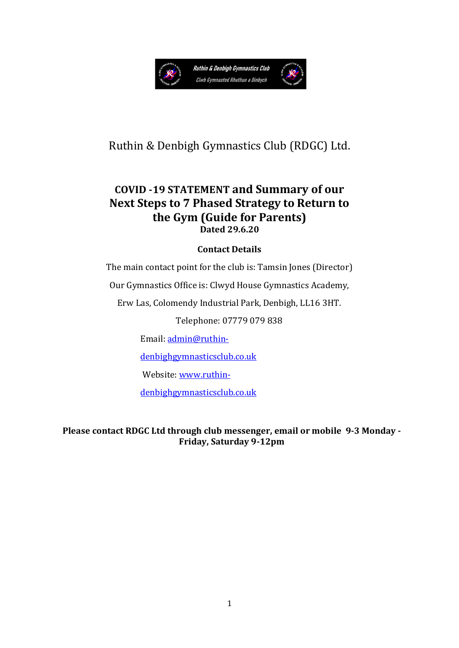

### Ruthin & Denbigh Gymnastics Club (RDGC) Ltd.

#### **COVID -19 STATEMENT and Summary of our Next Steps to 7 Phased Strategy to Return to the Gym (Guide for Parents) Dated 29.6.20**

#### **Contact Details**

The main contact point for the club is: Tamsin Jones (Director)

Our Gymnastics Office is: Clwyd House Gymnastics Academy,

Erw Las, Colomendy Industrial Park, Denbigh, LL16 3HT.

Telephone: 07779 079 838

Email: [admin@ruthin-](mailto:admin@ruthin-denbighgymnasticsclub.co.uk)

[denbighgymnasticsclub.co.uk](mailto:admin@ruthin-denbighgymnasticsclub.co.uk) 

Website: [www.ruthin-](http://www.ruthin-denbighgymnasticsclub.co.uk/)

[denbighgymnasticsclub.co.uk](http://www.ruthin-denbighgymnasticsclub.co.uk/)

**Please contact RDGC Ltd through club messenger, email or mobile 9-3 Monday - Friday, Saturday 9-12pm**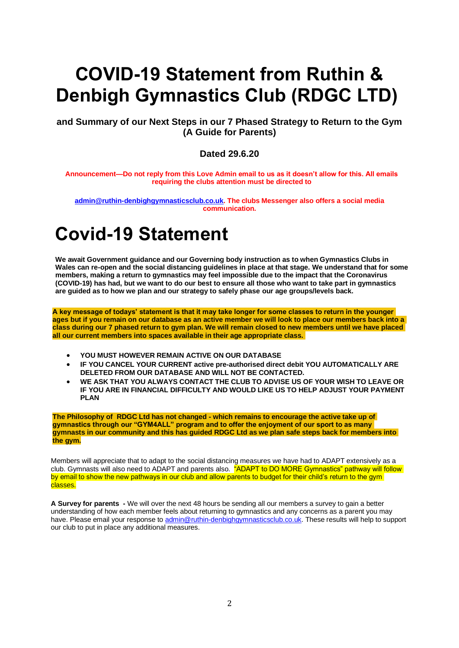# **COVID-19 Statement from Ruthin & Denbigh Gymnastics Club (RDGC LTD)**

**and Summary of our Next Steps in our 7 Phased Strategy to Return to the Gym (A Guide for Parents)**

#### **Dated 29.6.20**

**Announcement—Do not reply from this Love Admin email to us as it doesn't allow for this. All emails requiring the clubs attention must be directed to** 

**[admin@ruthin-denbighgymnasticsclub.co.uk.](mailto:admin@ruthin-denbighgymnasticsclub.co.uk) The clubs Messenger also offers a social media communication.**

# **Covid-19 Statement**

**We await Government guidance and our Governing body instruction as to when Gymnastics Clubs in Wales can re-open and the social distancing guidelines in place at that stage. We understand that for some members, making a return to gymnastics may feel impossible due to the impact that the Coronavirus (COVID-19) has had, but we want to do our best to ensure all those who want to take part in gymnastics are guided as to how we plan and our strategy to safely phase our age groups/levels back.**

**A key message of todays' statement is that it may take longer for some classes to return in the younger ages but if you remain on our database as an active member we will look to place our members back into a class during our 7 phased return to gym plan. We will remain closed to new members until we have placed all our current members into spaces available in their age appropriate class.**

- **YOU MUST HOWEVER REMAIN ACTIVE ON OUR DATABASE**
- **IF YOU CANCEL YOUR CURRENT active pre-authorised direct debit YOU AUTOMATICALLY ARE DELETED FROM OUR DATABASE AND WILL NOT BE CONTACTED.**
- **WE ASK THAT YOU ALWAYS CONTACT THE CLUB TO ADVISE US OF YOUR WISH TO LEAVE OR IF YOU ARE IN FINANCIAL DIFFICULTY AND WOULD LIKE US TO HELP ADJUST YOUR PAYMENT PLAN**

**The Philosophy of RDGC Ltd has not changed - which remains to encourage the active take up of gymnastics through our "GYM4ALL" program and to offer the enjoyment of our sport to as many gymnasts in our community and this has guided RDGC Ltd as we plan safe steps back for members into the gym.**

Members will appreciate that to adapt to the social distancing measures we have had to ADAPT extensively as a club. Gymnasts will also need to ADAPT and parents also. "ADAPT to DO MORE Gymnastics" pathway will follow by email to show the new pathways in our club and allow parents to budget for their child's return to the gym classes.

**A Survey for parents -** We will over the next 48 hours be sending all our members a survey to gain a better understanding of how each member feels about returning to gymnastics and any concerns as a parent you may have. Please email your response to [admin@ruthin-denbighgymnasticsclub.co.uk.](mailto:admin@ruthin-denbighgymnasticsclub.co.uk) These results will help to support our club to put in place any additional measures.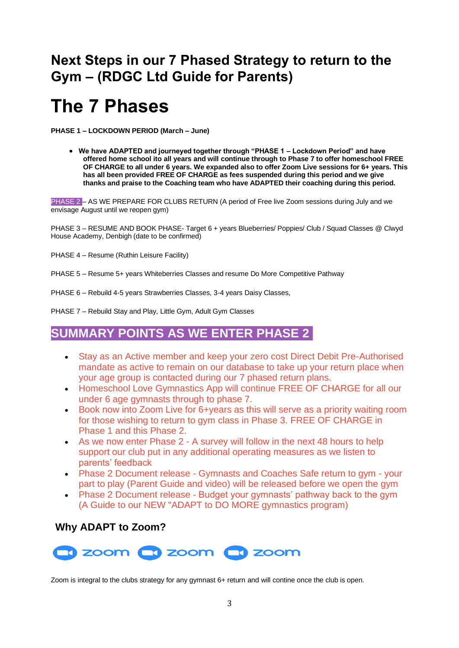## **Next Steps in our 7 Phased Strategy to return to the Gym – (RDGC Ltd Guide for Parents)**

# **The 7 Phases**

**PHASE 1 – LOCKDOWN PERIOD (March – June)**

• **We have ADAPTED and journeyed together through "PHASE 1 – Lockdown Period" and have offered home school ito all years and will continue through to Phase 7 to offer homeschool FREE OF CHARGE to all under 6 years. We expanded also to offer Zoom Live sessions for 6+ years. This has all been provided FREE OF CHARGE as fees suspended during this period and we give thanks and praise to the Coaching team who have ADAPTED their coaching during this period.**

PHASE 2 – AS WE PREPARE FOR CLUBS RETURN (A period of Free live Zoom sessions during July and we envisage August until we reopen gym)

PHASE 3 – RESUME AND BOOK PHASE- Target 6 + years Blueberries/ Poppies/ Club / Squad Classes @ Clwyd House Academy, Denbigh (date to be confirmed)

- PHASE 4 Resume (Ruthin Leisure Facility)
- PHASE 5 Resume 5+ years Whiteberries Classes and resume Do More Competitive Pathway
- PHASE 6 Rebuild 4-5 years Strawberries Classes, 3-4 years Daisy Classes,

PHASE 7 – Rebuild Stay and Play, Little Gym, Adult Gym Classes

#### **SUMMARY POINTS AS WE ENTER PHASE 2**

- Stay as an Active member and keep your zero cost Direct Debit Pre-Authorised mandate as active to remain on our database to take up your return place when your age group is contacted during our 7 phased return plans.
- Homeschool Love Gymnastics App will continue FREE OF CHARGE for all our under 6 age gymnasts through to phase 7.
- Book now into Zoom Live for 6+vears as this will serve as a priority waiting room for those wishing to return to gym class in Phase 3. FREE OF CHARGE in Phase 1 and this Phase 2.
- As we now enter Phase 2 A survey will follow in the next 48 hours to help support our club put in any additional operating measures as we listen to parents' feedback
- Phase 2 Document release Gymnasts and Coaches Safe return to gym your part to play (Parent Guide and video) will be released before we open the gym
- Phase 2 Document release Budget your gymnasts' pathway back to the gym (A Guide to our NEW "ADAPT to DO MORE gymnastics program)

#### **Why ADAPT to Zoom?**



Zoom is integral to the clubs strategy for any gymnast 6+ return and will contine once the club is open.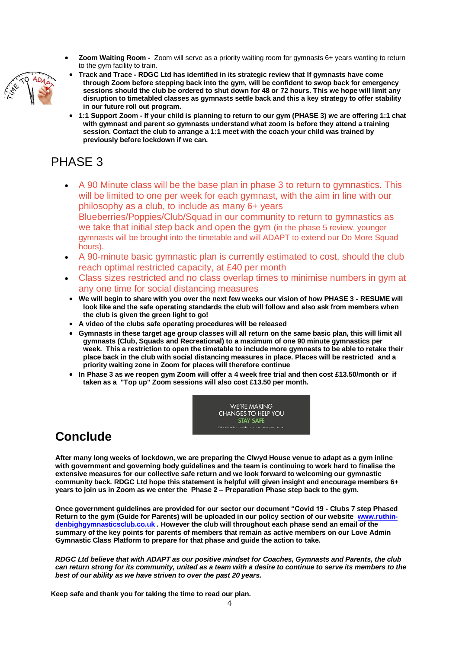• **Zoom Waiting Room -** Zoom will serve as a priority waiting room for gymnasts 6+ years wanting to return to the gym facility to train.



- **Track and Trace - RDGC Ltd has identified in its strategic review that If gymnasts have come through Zoom before stepping back into the gym, will be confident to swop back for emergency sessions should the club be ordered to shut down for 48 or 72 hours. This we hope will limit any disruption to timetabled classes as gymnasts settle back and this a key strategy to offer stability in our future roll out program.**
- **1:1 Support Zoom - If your child is planning to return to our gym (PHASE 3) we are offering 1:1 chat with gymnast and parent so gymnasts understand what zoom is before they attend a training session. Contact the club to arrange a 1:1 meet with the coach your child was trained by previously before lockdown if we can.**

## PHASE 3

- A 90 Minute class will be the base plan in phase 3 to return to gymnastics. This will be limited to one per week for each gymnast, with the aim in line with our philosophy as a club, to include as many 6+ years Blueberries/Poppies/Club/Squad in our community to return to gymnastics as we take that initial step back and open the gym (in the phase 5 review, younger gymnasts will be brought into the timetable and will ADAPT to extend our Do More Squad hours).
- A 90-minute basic gymnastic plan is currently estimated to cost, should the club reach optimal restricted capacity, at £40 per month
- Class sizes restricted and no class overlap times to minimise numbers in gym at any one time for social distancing measures
- **We will begin to share with you over the next few weeks our vision of how PHASE 3 - RESUME will look like and the safe operating standards the club will follow and also ask from members when the club is given the green light to go!**
- **A video of the clubs safe operating procedures will be released**
- **Gymnasts in these target age group classes will all return on the same basic plan, this will limit all gymnasts (Club, Squads and Recreational) to a maximum of one 90 minute gymnastics per week. This a restriction to open the timetable to include more gymnasts to be able to retake their place back in the club with social distancing measures in place. Places will be restricted and a priority waiting zone in Zoom for places will therefore continue**
- **In Phase 3 as we reopen gym Zoom will offer a 4 week free trial and then cost £13.50/month or if taken as a "Top up" Zoom sessions will also cost £13.50 per month.**



## **Conclude**

**After many long weeks of lockdown, we are preparing the Clwyd House venue to adapt as a gym inline with government and governing body guidelines and the team is continuing to work hard to finalise the extensive measures for our collective safe return and we look forward to welcoming our gymnastic community back. RDGC Ltd hope this statement is helpful will given insight and encourage members 6+ years to join us in Zoom as we enter the Phase 2 – Preparation Phase step back to the gym.**

**Once government guidelines are provided for our sector our document "Covid 19 - Clubs 7 step Phased Return to the gym (Guide for Parents) will be uploaded in our policy section of our website [www.ruthin](http://www.ruthin-denbighgymnasticsclub.co.uk/)[denbighgymnasticsclub.co.uk](http://www.ruthin-denbighgymnasticsclub.co.uk/) . However the club will throughout each phase send an email of the summary of the key points for parents of members that remain as active members on our Love Admin Gymnastic Class Platform to prepare for that phase and guide the action to take.** 

*RDGC Ltd believe that with ADAPT as our positive mindset for Coaches, Gymnasts and Parents, the club can return strong for its community, united as a team with a desire to continue to serve its members to the best of our ability as we have striven to over the past 20 years.*

**Keep safe and thank you for taking the time to read our plan.**